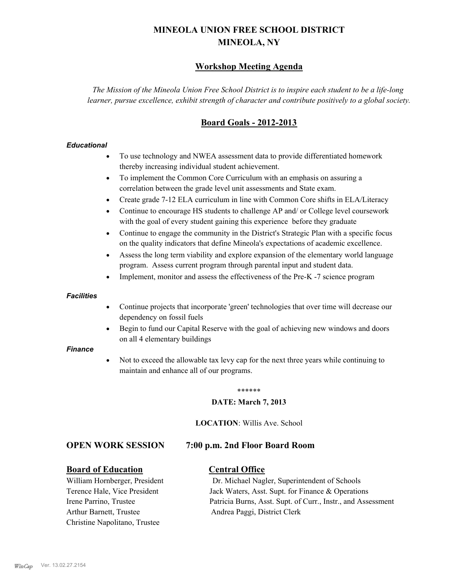# **MINEOLA UNION FREE SCHOOL DISTRICT MINEOLA, NY**

# **Workshop Meeting Agenda**

*The Mission of the Mineola Union Free School District is to inspire each student to be a life-long learner, pursue excellence, exhibit strength of character and contribute positively to a global society.*

# **Board Goals - 2012-2013**

## *Educational*

- · To use technology and NWEA assessment data to provide differentiated homework thereby increasing individual student achievement.
- · To implement the Common Core Curriculum with an emphasis on assuring a correlation between the grade level unit assessments and State exam.
- Create grade 7-12 ELA curriculum in line with Common Core shifts in ELA/Literacy
- Continue to encourage HS students to challenge AP and/ or College level coursework with the goal of every student gaining this experience before they graduate
- · Continue to engage the community in the District's Strategic Plan with a specific focus on the quality indicators that define Mineola's expectations of academic excellence.
- Assess the long term viability and explore expansion of the elementary world language program. Assess current program through parental input and student data.
- Implement, monitor and assess the effectiveness of the Pre-K -7 science program

### *Facilities*

- · Continue projects that incorporate 'green' technologies that over time will decrease our dependency on fossil fuels
- Begin to fund our Capital Reserve with the goal of achieving new windows and doors on all 4 elementary buildings

### *Finance*

Not to exceed the allowable tax levy cap for the next three years while continuing to maintain and enhance all of our programs.

#### \*\*\*\*\*\*

### **DATE: March 7, 2013**

**LOCATION**: Willis Ave. School

## **OPEN WORK SESSION 7:00 p.m. 2nd Floor Board Room**

## **Board of Education Central Office**

Arthur Barnett, Trustee Andrea Paggi, District Clerk Christine Napolitano, Trustee

William Hornberger, President Dr. Michael Nagler, Superintendent of Schools Terence Hale, Vice President Jack Waters, Asst. Supt. for Finance & Operations Irene Parrino, Trustee Patricia Burns, Asst. Supt. of Curr., Instr., and Assessment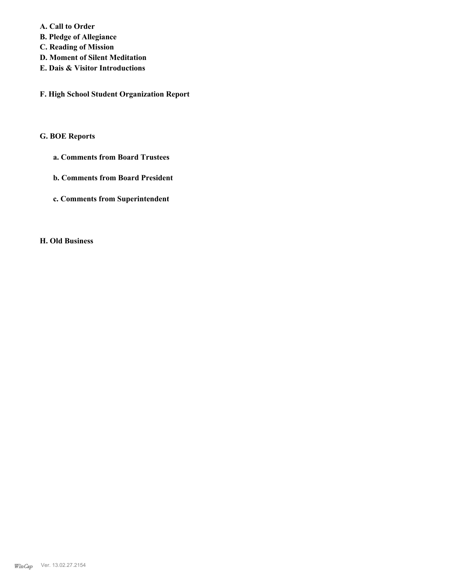**A. Call to Order** 

**B. Pledge of Allegiance**

- **C. Reading of Mission**
- **D. Moment of Silent Meditation**
- **E. Dais & Visitor Introductions**

**F. High School Student Organization Report**

## **G. BOE Reports**

- **a. Comments from Board Trustees**
- **b. Comments from Board President**
- **c. Comments from Superintendent**

# **H. Old Business**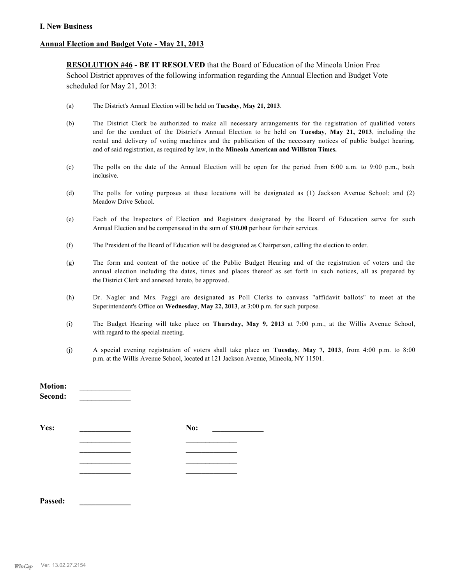## **Annual Election and Budget Vote - May 21, 2013**

**RESOLUTION #46 - BE IT RESOLVED** that the Board of Education of the Mineola Union Free School District approves of the following information regarding the Annual Election and Budget Vote scheduled for May 21, 2013:

- (a) The District's Annual Election will be held on **Tuesday**, **May 21, 2013**.
- (b) The District Clerk be authorized to make all necessary arrangements for the registration of qualified voters and for the conduct of the District's Annual Election to be held on **Tuesday**, **May 21, 2013**, including the rental and delivery of voting machines and the publication of the necessary notices of public budget hearing, and of said registration, as required by law, in the **Mineola American and Williston Times.**
- (c) The polls on the date of the Annual Election will be open for the period from 6:00 a.m. to 9:00 p.m., both inclusive.
- (d) The polls for voting purposes at these locations will be designated as (1) Jackson Avenue School; and (2) Meadow Drive School.
- (e) Each of the Inspectors of Election and Registrars designated by the Board of Education serve for such Annual Election and be compensated in the sum of **\$10.00** per hour for their services.
- (f) The President of the Board of Education will be designated as Chairperson, calling the election to order.
- (g) The form and content of the notice of the Public Budget Hearing and of the registration of voters and the annual election including the dates, times and places thereof as set forth in such notices, all as prepared by the District Clerk and annexed hereto, be approved.
- (h) Dr. Nagler and Mrs. Paggi are designated as Poll Clerks to canvass "affidavit ballots" to meet at the Superintendent's Office on **Wednesday**, **May 22, 2013**, at 3:00 p.m. for such purpose.
- (i) The Budget Hearing will take place on **Thursday, May 9, 2013** at 7:00 p.m., at the Willis Avenue School, with regard to the special meeting.
- (j) A special evening registration of voters shall take place on **Tuesday**, **May 7, 2013**, from 4:00 p.m. to 8:00 p.m. at the Willis Avenue School, located at 121 Jackson Avenue, Mineola, NY 11501.

| <b>Motion:</b><br>Second: |     |  |
|---------------------------|-----|--|
| Yes:                      | No: |  |
|                           |     |  |
|                           |     |  |
|                           |     |  |
|                           |     |  |
|                           |     |  |
|                           |     |  |

**Passed: \_\_\_\_\_\_\_\_\_\_\_\_\_**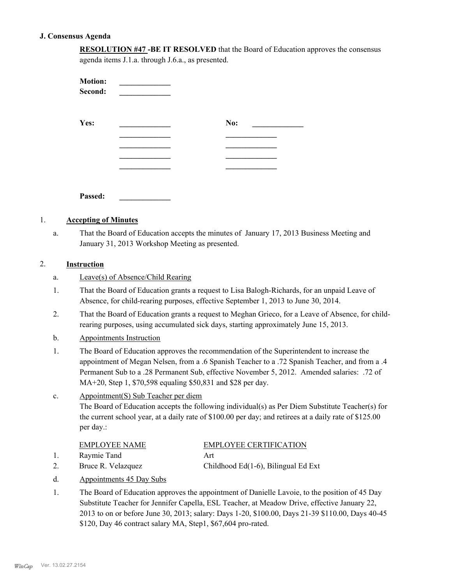## **J. Consensus Agenda**

| <b>RESOLUTION #47-BE IT RESOLVED</b> that the Board of Education approves the consensus |
|-----------------------------------------------------------------------------------------|
| agenda items J.1.a. through J.6.a., as presented.                                       |

| <b>Motion:</b><br>Second: |     |
|---------------------------|-----|
| Yes:                      | No: |
|                           |     |
|                           |     |
|                           |     |
|                           |     |
|                           |     |

**Passed: \_\_\_\_\_\_\_\_\_\_\_\_\_**

## 1. **Accepting of Minutes**

That the Board of Education accepts the minutes of January 17, 2013 Business Meeting and January 31, 2013 Workshop Meeting as presented. a.

## 2. **Instruction**

- a. Leave(s) of Absence/Child Rearing
- That the Board of Education grants a request to Lisa Balogh-Richards, for an unpaid Leave of Absence, for child-rearing purposes, effective September 1, 2013 to June 30, 2014. 1.
- That the Board of Education grants a request to Meghan Grieco, for a Leave of Absence, for childrearing purposes, using accumulated sick days, starting approximately June 15, 2013. 2.
- b. Appointments Instruction
- The Board of Education approves the recommendation of the Superintendent to increase the appointment of Megan Nelsen, from a .6 Spanish Teacher to a .72 Spanish Teacher, and from a .4 Permanent Sub to a .28 Permanent Sub, effective November 5, 2012. Amended salaries: .72 of MA+20, Step 1, \$70,598 equaling \$50,831 and \$28 per day. 1.

#### Appointment(S) Sub Teacher per diem The Board of Education accepts the following individual(s) as Per Diem Substitute Teacher(s) for the current school year, at a daily rate of \$100.00 per day; and retirees at a daily rate of \$125.00 per day.: c.

| <b>EMPLOYEE NAME</b> | EMPLOYEE CERTIFICATION |
|----------------------|------------------------|
| Raymie Tand          |                        |

- 2. Bruce R. Velazquez Childhood Ed(1-6), Bilingual Ed Ext
- d. Appointments 45 Day Subs
- The Board of Education approves the appointment of Danielle Lavoie, to the position of 45 Day Substitute Teacher for Jennifer Capella, ESL Teacher, at Meadow Drive, effective January 22, 2013 to on or before June 30, 2013; salary: Days 1-20, \$100.00, Days 21-39 \$110.00, Days 40-45 \$120, Day 46 contract salary MA, Step1, \$67,604 pro-rated. 1.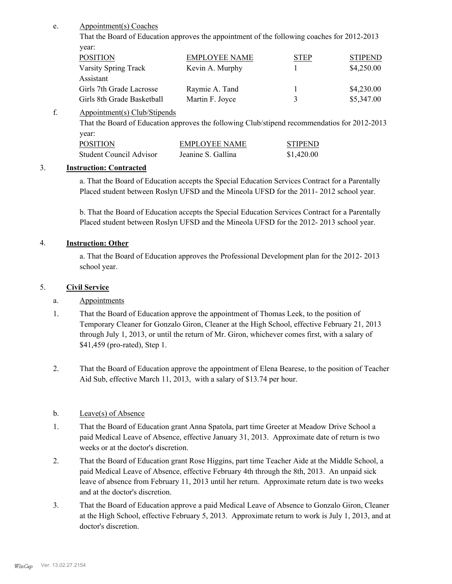Appointment(s) Coaches e.

> That the Board of Education approves the appointment of the following coaches for 2012-2013 year:

| <b>POSITION</b>            | <b>EMPLOYEE NAME</b> | <b>STEP</b> | <b>STIPEND</b> |
|----------------------------|----------------------|-------------|----------------|
| Varsity Spring Track       | Kevin A. Murphy      |             | \$4,250.00     |
| Assistant                  |                      |             |                |
| Girls 7th Grade Lacrosse   | Raymie A. Tand       |             | \$4,230.00     |
| Girls 8th Grade Basketball | Martin F. Joyce      |             | \$5,347.00     |

Appointment(s) Club/Stipends f.

> That the Board of Education approves the following Club/stipend recommendatios for 2012-2013 year:

| <b>POSITION</b>         | <b>EMPLOYEE NAME</b> | <b>STIPEND</b> |
|-------------------------|----------------------|----------------|
| Student Council Advisor | Jeanine S. Gallina   | \$1,420.00     |

# 3. **Instruction: Contracted**

a. That the Board of Education accepts the Special Education Services Contract for a Parentally Placed student between Roslyn UFSD and the Mineola UFSD for the 2011- 2012 school year.

b. That the Board of Education accepts the Special Education Services Contract for a Parentally Placed student between Roslyn UFSD and the Mineola UFSD for the 2012- 2013 school year.

## 4. **Instruction: Other**

a. That the Board of Education approves the Professional Development plan for the 2012- 2013 school year.

## 5. **Civil Service**

- a. Appointments
- That the Board of Education approve the appointment of Thomas Leek, to the position of Temporary Cleaner for Gonzalo Giron, Cleaner at the High School, effective February 21, 2013 through July 1, 2013, or until the return of Mr. Giron, whichever comes first, with a salary of \$41,459 (pro-rated), Step 1. 1.
- That the Board of Education approve the appointment of Elena Bearese, to the position of Teacher Aid Sub, effective March 11, 2013, with a salary of \$13.74 per hour. 2.

## b. Leave(s) of Absence

- That the Board of Education grant Anna Spatola, part time Greeter at Meadow Drive School a paid Medical Leave of Absence, effective January 31, 2013. Approximate date of return is two weeks or at the doctor's discretion. 1.
- That the Board of Education grant Rose Higgins, part time Teacher Aide at the Middle School, a paid Medical Leave of Absence, effective February 4th through the 8th, 2013. An unpaid sick leave of absence from February 11, 2013 until her return. Approximate return date is two weeks and at the doctor's discretion. 2.
- That the Board of Education approve a paid Medical Leave of Absence to Gonzalo Giron, Cleaner at the High School, effective February 5, 2013. Approximate return to work is July 1, 2013, and at doctor's discretion. 3.